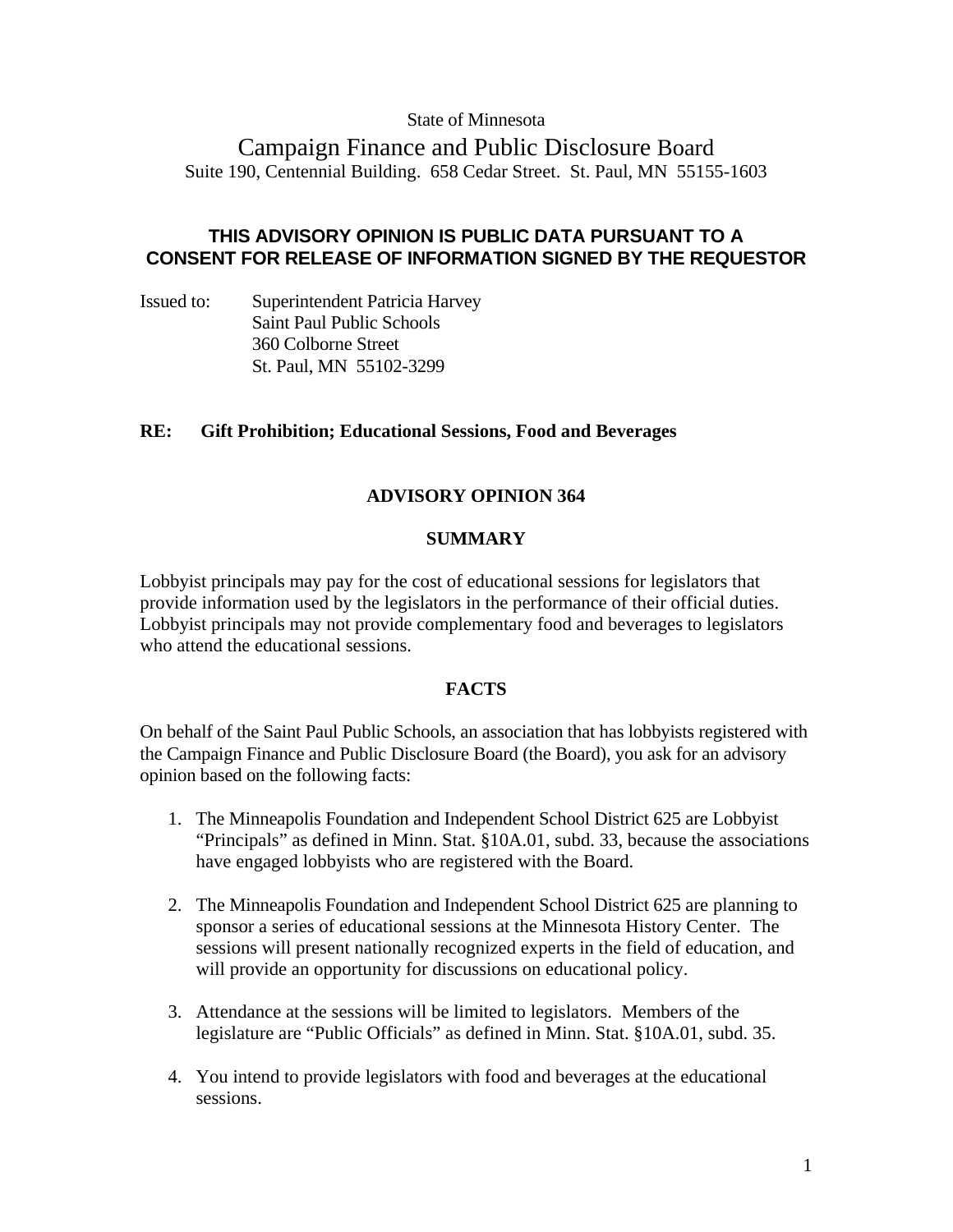### State of Minnesota

# Campaign Finance and Public Disclosure Board Suite 190, Centennial Building. 658 Cedar Street. St. Paul, MN 55155-1603

# **THIS ADVISORY OPINION IS PUBLIC DATA PURSUANT TO A CONSENT FOR RELEASE OF INFORMATION SIGNED BY THE REQUESTOR**

Issued to: Superintendent Patricia Harvey Saint Paul Public Schools 360 Colborne Street St. Paul, MN 55102-3299

# **RE: Gift Prohibition; Educational Sessions, Food and Beverages**

# **ADVISORY OPINION 364**

### **SUMMARY**

Lobbyist principals may pay for the cost of educational sessions for legislators that provide information used by the legislators in the performance of their official duties. Lobbyist principals may not provide complementary food and beverages to legislators who attend the educational sessions.

#### **FACTS**

On behalf of the Saint Paul Public Schools, an association that has lobbyists registered with the Campaign Finance and Public Disclosure Board (the Board), you ask for an advisory opinion based on the following facts:

- 1. The Minneapolis Foundation and Independent School District 625 are Lobbyist "Principals" as defined in Minn. Stat. §10A.01, subd. 33, because the associations have engaged lobbyists who are registered with the Board.
- 2. The Minneapolis Foundation and Independent School District 625 are planning to sponsor a series of educational sessions at the Minnesota History Center. The sessions will present nationally recognized experts in the field of education, and will provide an opportunity for discussions on educational policy.
- 3. Attendance at the sessions will be limited to legislators. Members of the legislature are "Public Officials" as defined in Minn. Stat. §10A.01, subd. 35.
- 4. You intend to provide legislators with food and beverages at the educational sessions.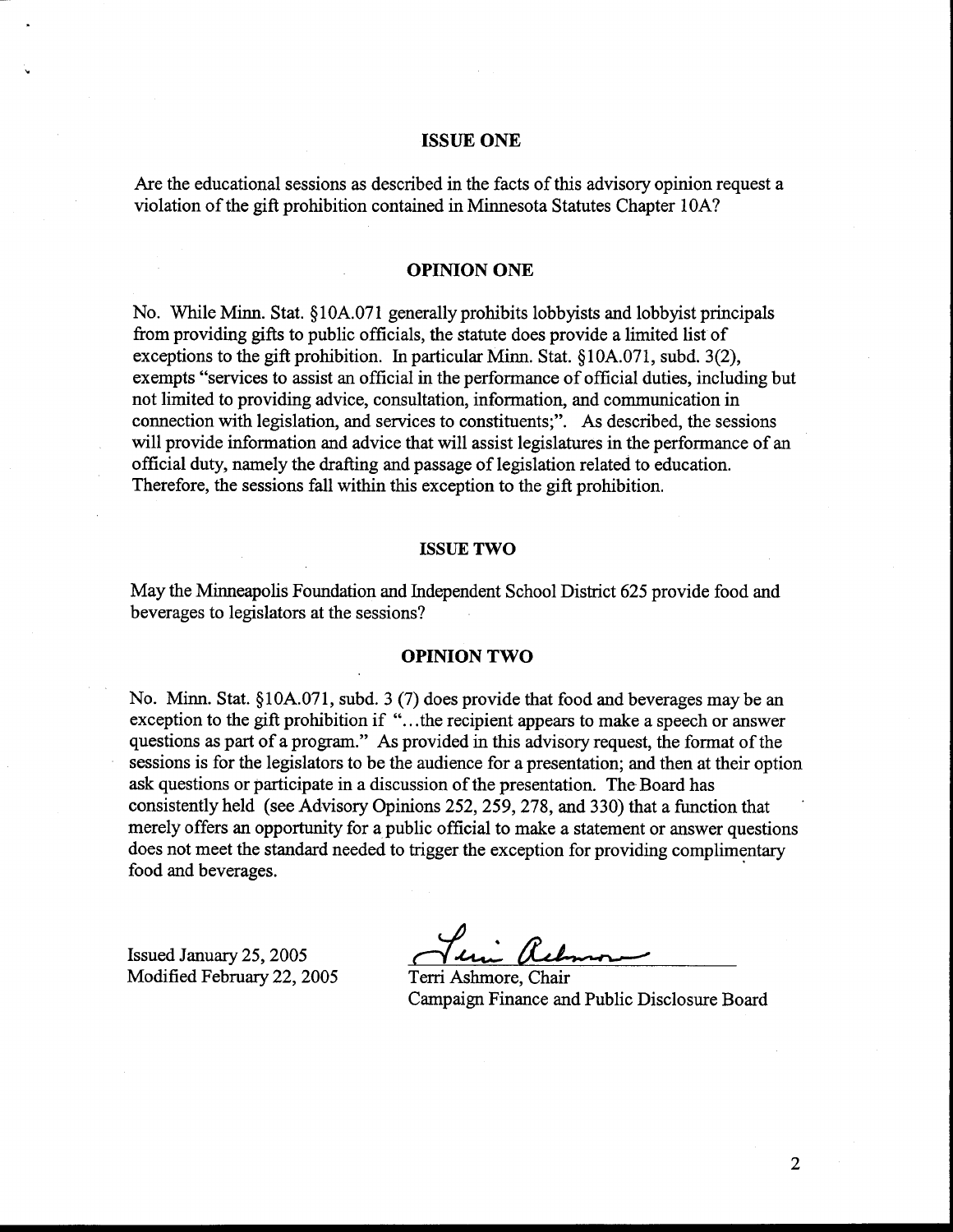#### **ISSUE ONE**

Are the educational sessions as described in the facts of this advisory opinion request a violation of the gift prohibition contained in Minnesota Statutes Chapter lOA?

#### **OPINION ONE**

No. While Minn. Stat. \$10A.071 generally prohibits lobbyists and lobbyist principals fiom providing gifts to public officials, the statute does provide a limited list of exceptions to the gift prohibition. In particular Minn. Stat.  $\S 10A.071$ , subd. 3(2), exempts "services to assist an official in the performance of official duties, including but not limited to providing advice, consultation, information, and communication in connection with legislation, and services to constituents;". As described, the sessions will provide information and advice that will assist legislatures in the performance of an official duty, namely the drafting and passage of legislation related to education. Therefore, the sessions fall within this exception to the gift prohibition.

#### **ISSUE TWO**

May the Minneapolis Foundation and Independent School District 625 provide food and beverages to legislators at the sessions?

#### **OPINION TWO**

No. Minn. Stat. §10A.071, subd. 3 (7) does provide that food and beverages may be an exception to the gift prohibition if "...the recipient appears to make a speech or answer questions as part of a program." As provided in this advisory request, the format of the sessions is for the legislators to be the audience for a presentation; and then at their option ask questions or participate in a discussion of the presentation. The Board has consistently held (see Advisory Opinions 252,259,278, and 330) that a function that ' merely offers an opportunity for a public official to make a statement or answer questions does not meet the standard needed to trigger the exception for providing complimentary food and beverages.

Issued January 25,2005 Modified February 22,2005 Terri Ashrnore, Chair

Campaign Finance and Public Disclosure Board

 $\overline{2}$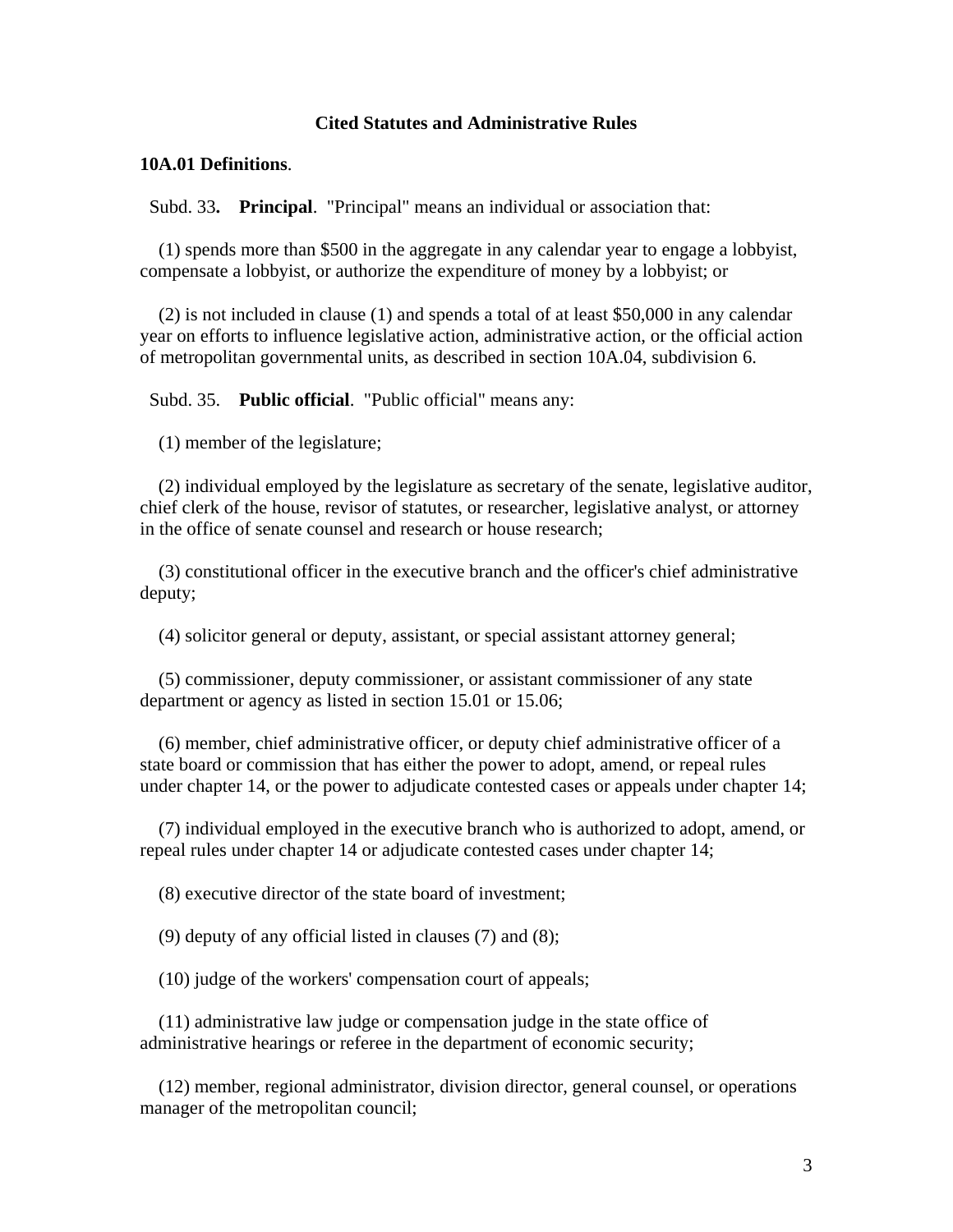# **Cited Statutes and Administrative Rules**

#### **10A.01 Definitions**.

Subd. 33**. Principal**. "Principal" means an individual or association that:

 (1) spends more than \$500 in the aggregate in any calendar year to engage a lobbyist, compensate a lobbyist, or authorize the expenditure of money by a lobbyist; or

 (2) is not included in clause (1) and spends a total of at least \$50,000 in any calendar year on efforts to influence legislative action, administrative action, or the official action of metropolitan governmental units, as described in section 10A.04, subdivision 6.

Subd. 35. **Public official**. "Public official" means any:

(1) member of the legislature;

 (2) individual employed by the legislature as secretary of the senate, legislative auditor, chief clerk of the house, revisor of statutes, or researcher, legislative analyst, or attorney in the office of senate counsel and research or house research;

 (3) constitutional officer in the executive branch and the officer's chief administrative deputy;

(4) solicitor general or deputy, assistant, or special assistant attorney general;

 (5) commissioner, deputy commissioner, or assistant commissioner of any state department or agency as listed in section 15.01 or 15.06;

 (6) member, chief administrative officer, or deputy chief administrative officer of a state board or commission that has either the power to adopt, amend, or repeal rules under chapter 14, or the power to adjudicate contested cases or appeals under chapter 14;

 (7) individual employed in the executive branch who is authorized to adopt, amend, or repeal rules under chapter 14 or adjudicate contested cases under chapter 14;

(8) executive director of the state board of investment;

(9) deputy of any official listed in clauses (7) and (8);

(10) judge of the workers' compensation court of appeals;

 (11) administrative law judge or compensation judge in the state office of administrative hearings or referee in the department of economic security;

 (12) member, regional administrator, division director, general counsel, or operations manager of the metropolitan council;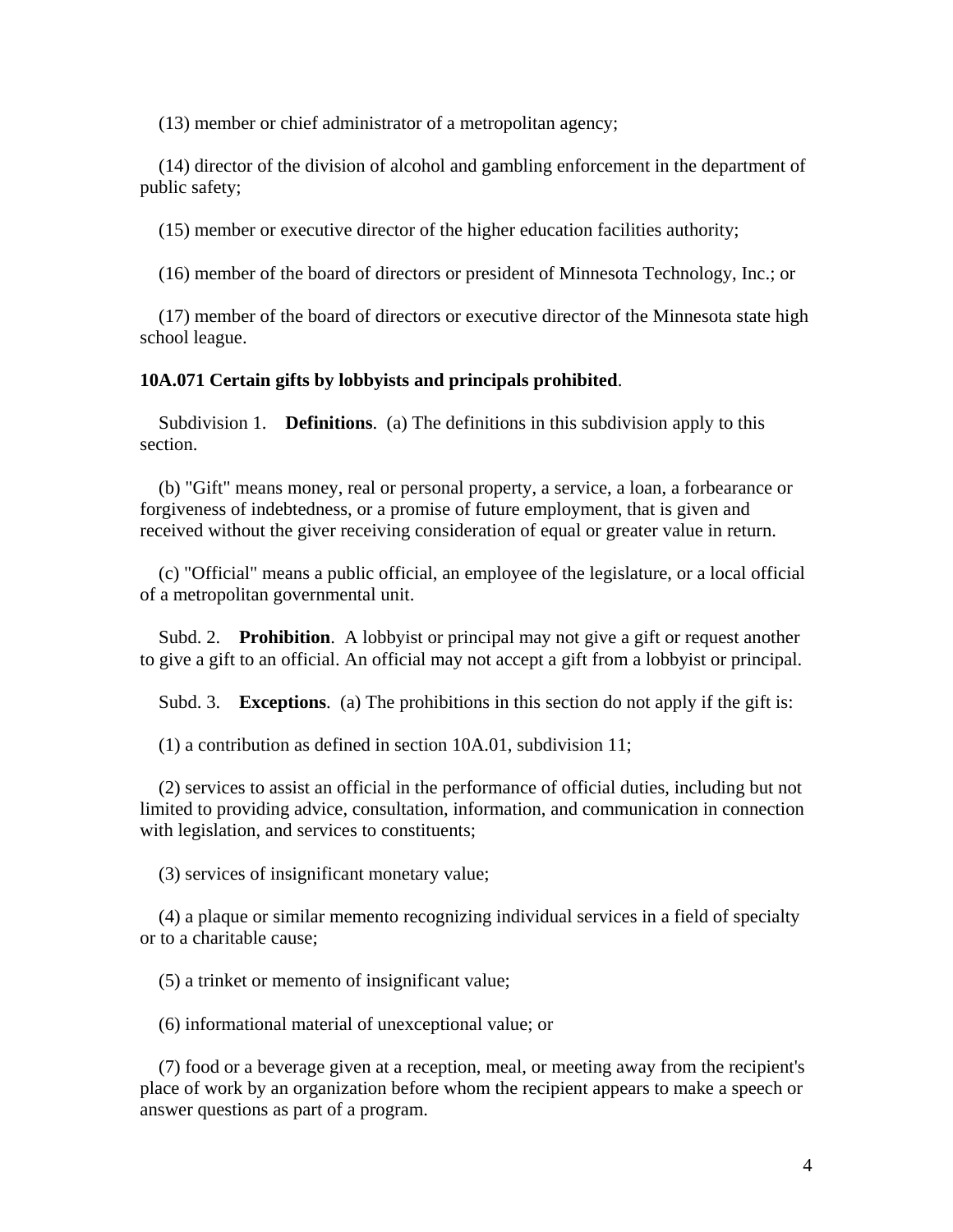(13) member or chief administrator of a metropolitan agency;

 (14) director of the division of alcohol and gambling enforcement in the department of public safety;

(15) member or executive director of the higher education facilities authority;

(16) member of the board of directors or president of Minnesota Technology, Inc.; or

 (17) member of the board of directors or executive director of the Minnesota state high school league.

### **10A.071 Certain gifts by lobbyists and principals prohibited**.

 Subdivision 1. **Definitions**. (a) The definitions in this subdivision apply to this section.

 (b) "Gift" means money, real or personal property, a service, a loan, a forbearance or forgiveness of indebtedness, or a promise of future employment, that is given and received without the giver receiving consideration of equal or greater value in return.

 (c) "Official" means a public official, an employee of the legislature, or a local official of a metropolitan governmental unit.

 Subd. 2. **Prohibition**. A lobbyist or principal may not give a gift or request another to give a gift to an official. An official may not accept a gift from a lobbyist or principal.

Subd. 3. **Exceptions**. (a) The prohibitions in this section do not apply if the gift is:

(1) a contribution as defined in section 10A.01, subdivision 11;

 (2) services to assist an official in the performance of official duties, including but not limited to providing advice, consultation, information, and communication in connection with legislation, and services to constituents;

(3) services of insignificant monetary value;

 (4) a plaque or similar memento recognizing individual services in a field of specialty or to a charitable cause;

(5) a trinket or memento of insignificant value;

(6) informational material of unexceptional value; or

 (7) food or a beverage given at a reception, meal, or meeting away from the recipient's place of work by an organization before whom the recipient appears to make a speech or answer questions as part of a program.